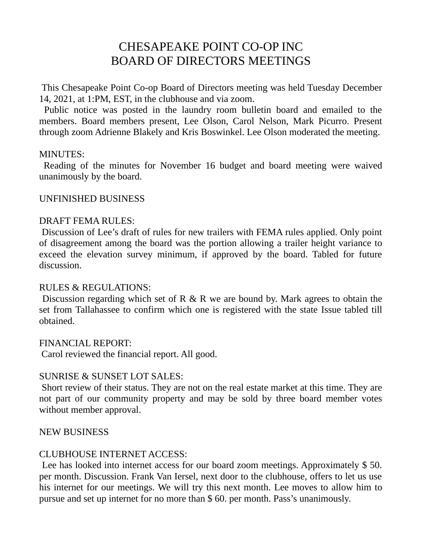# CHESAPEAKE POINT CO-OP INC BOARD OF DIRECTORS MEETINGS

 This Chesapeake Point Co-op Board of Directors meeting was held Tuesday December 14, 2021, at 1:PM, EST, in the clubhouse and via zoom.

 Public notice was posted in the laundry room bulletin board and emailed to the members. Board members present, Lee Olson, Carol Nelson, Mark Picurro. Present through zoom Adrienne Blakely and Kris Boswinkel. Lee Olson moderated the meeting.

#### MINUTES:

 Reading of the minutes for November 16 budget and board meeting were waived unanimously by the board.

#### UNFINISHED BUSINESS

#### DRAFT FEMA RULES:

 Discussion of Lee's draft of rules for new trailers with FEMA rules applied. Only point of disagreement among the board was the portion allowing a trailer height variance to exceed the elevation survey minimum, if approved by the board. Tabled for future discussion.

#### RULES & REGULATIONS:

 Discussion regarding which set of R & R we are bound by. Mark agrees to obtain the set from Tallahassee to confirm which one is registered with the state Issue tabled till obtained.

FINANCIAL REPORT:

Carol reviewed the financial report. All good.

## SUNRISE & SUNSET LOT SALES:

 Short review of their status. They are not on the real estate market at this time. They are not part of our community property and may be sold by three board member votes without member approval.

#### NEW BUSINESS

## CLUBHOUSE INTERNET ACCESS:

Lee has looked into internet access for our board zoom meetings. Approximately \$50. per month. Discussion. Frank Van Iersel, next door to the clubhouse, offers to let us use his internet for our meetings. We will try this next month. Lee moves to allow him to pursue and set up internet for no more than \$ 60. per month. Pass's unanimously.